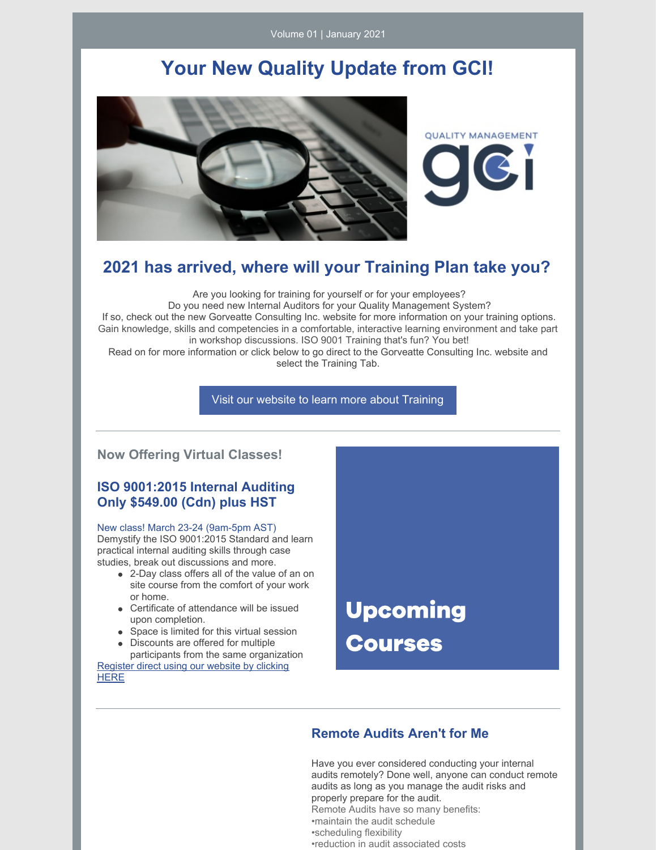Volume 01 | January 2021

## **Your New Quality Update from GCI!**



**QUALITY MANAGEMENT** 

### **2021 has arrived, where will your Training Plan take you?**

Are you looking for training for yourself or for your employees? Do you need new Internal Auditors for your Quality Management System? If so, check out the new Gorveatte Consulting Inc. website for more information on your training options. Gain knowledge, skills and competencies in a comfortable, interactive learning environment and take part in workshop discussions. ISO 9001 Training that's fun? You bet! Read on for more information or click below to go direct to the Gorveatte Consulting Inc. website and

select the Training Tab.

Visit our website to learn more about [Training](http://www.gorveatteconsulting.com)

#### **Now Offering Virtual Classes!**

#### **ISO 9001:2015 Internal Auditing Only \$549.00 (Cdn) plus HST**

#### New class! March 23-24 (9am-5pm AST)

Demystify the ISO 9001:2015 Standard and learn practical internal auditing skills through case studies, break out discussions and more.

- 2-Day class offers all of the value of an on site course from the comfort of your work or home.
- Certificate of attendance will be issued upon completion.
- Space is limited for this virtual session
- Discounts are offered for multiple participants from the same organization

[Register](https://www.gorveatteconsulting.com/training.html) direct using our website by clicking **HERE** 

**Upcoming Courses** 

#### **Remote Audits Aren't for Me**

Have you ever considered conducting your internal audits remotely? Done well, anyone can conduct remote audits as long as you manage the audit risks and properly prepare for the audit. Remote Audits have so many benefits: •maintain the audit schedule •scheduling flexibility •reduction in audit associated costs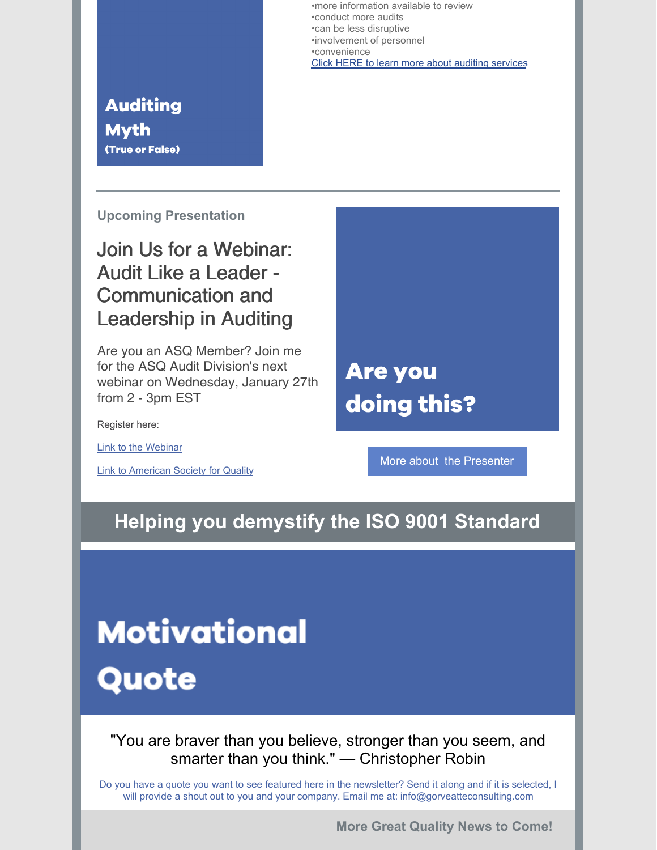•more information available to review •conduct more audits •can be less disruptive •involvement of personnel •convenience Click HERE to learn more about [auditing](https://www.gorveatteconsulting.com/internalauditing.html) services

## **Auditing Myth** (True or False)

**Upcoming Presentation**

# Join Us for a Webinar: Audit Like a Leader - Communication and Leadership in Auditing

Are you an ASQ Member? Join me for the ASQ Audit Division's next webinar on Wednesday, January 27th from 2 - 3pm EST

Register here:

Link to the [Webinar](https://my.asq.org/communities/blogpost/view/173/156/1634)

Link to [American](https://asq.org/) Society for Quality

**Are you** doing this?

More about the [Presenter](https://www.gorveatteconsulting.com/about.html)

# **Helping you demystify the ISO 9001 Standard**

# **Motivational**

Quote

"You are braver than you believe, stronger than you seem, and smarter than you think." — Christopher Robin

Do you have a quote you want to see featured here in the newsletter? Send it along and if it is selected, I will provide a shout out to you and your company. Email me at: [info@gorveatteconsulting.com](mailto:info@gorveatteconsulting.com)

**More Great Quality News to Come!**